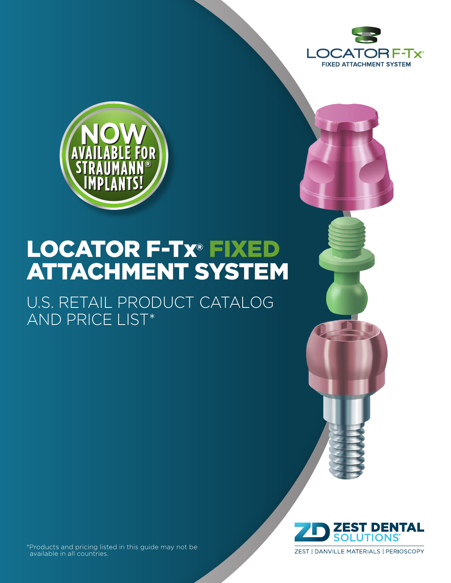



U.S. RETAIL PRODUCT CATALOG AND PRICE LIST\*





\*Products and pricing listed in this guide may not be available in all countries.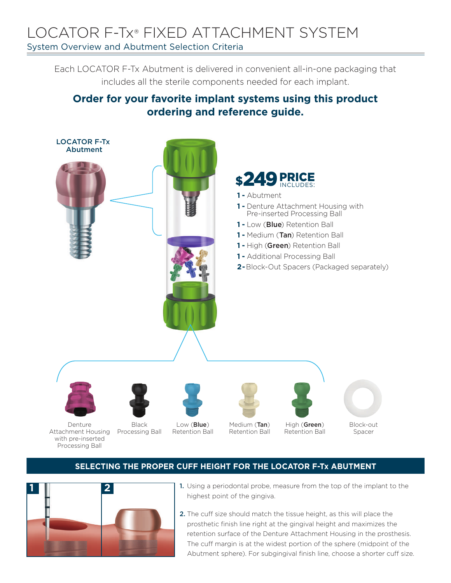#### LOCATOR F-Tx® FIXED ATTACHMENT SYSTEM System Overview and Abutment Selection Criteria

Each LOCATOR F-Tx Abutment is delivered in convenient all-in-one packaging that includes all the sterile components needed for each implant.

#### **Order for your favorite implant systems using this product ordering and reference guide.**



Denture Attachment Housing Processing Ball with pre-inserted Processing Ball

Low (Blue) Retention Ball Medium (Tan) Retention Ball

High (Green) Retention Ball Block-out Spacer

#### **SELECTING THE PROPER CUFF HEIGHT FOR THE LOCATOR F-Tx ABUTMENT**



- 1. Using a periodontal probe, measure from the top of the implant to the highest point of the gingiva.
- 2. The cuff size should match the tissue height, as this will place the prosthetic finish line right at the gingival height and maximizes the retention surface of the Denture Attachment Housing in the prosthesis. The cuff margin is at the widest portion of the sphere (midpoint of the Abutment sphere). For subgingival finish line, choose a shorter cuff size.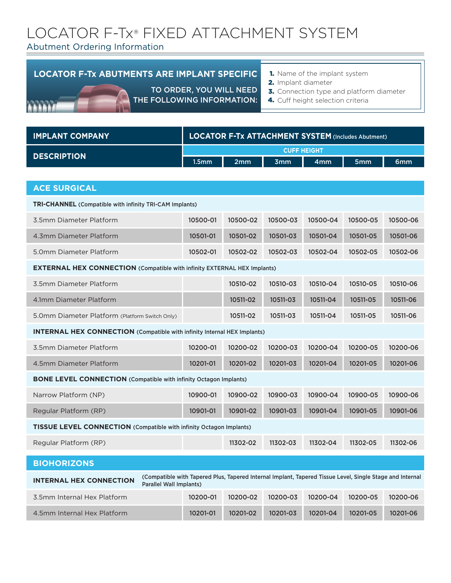#### Abutment Ordering Information

#### **LOCATOR F-Tx ABUTMENTS ARE IMPLANT SPECIFIC**

TO ORDER, YOU WILL NEED

THE FOLLOWING INFORMATION:

- **1.** Name of the implant system
- 2. Implant diameter
- 3. Connection type and platform diameter
	- 4. Cuff height selection criteria

| <b>IMPLANT COMPANY</b>                                                          | <b>LOCATOR F-Tx ATTACHMENT SYSTEM (Includes Abutment)</b>                                                |          |            |                    |          |          |
|---------------------------------------------------------------------------------|----------------------------------------------------------------------------------------------------------|----------|------------|--------------------|----------|----------|
|                                                                                 |                                                                                                          |          |            | <b>CUFF HEIGHT</b> |          |          |
| <b>DESCRIPTION</b>                                                              | 1.5 <sub>mm</sub>                                                                                        | 2mm      | <b>3mm</b> | 4mm                | 5mm      | 6mm      |
|                                                                                 |                                                                                                          |          |            |                    |          |          |
| <b>ACE SURGICAL</b>                                                             |                                                                                                          |          |            |                    |          |          |
| <b>TRI-CHANNEL</b> (Compatible with infinity TRI-CAM Implants)                  |                                                                                                          |          |            |                    |          |          |
| 3.5mm Diameter Platform                                                         | 10500-01                                                                                                 | 10500-02 | 10500-03   | 10500-04           | 10500-05 | 10500-06 |
| 4.3mm Diameter Platform                                                         | 10501-01                                                                                                 | 10501-02 | 10501-03   | 10501-04           | 10501-05 | 10501-06 |
| 5.0mm Diameter Platform                                                         | 10502-01                                                                                                 | 10502-02 | 10502-03   | 10502-04           | 10502-05 | 10502-06 |
| <b>EXTERNAL HEX CONNECTION (Compatible with infinity EXTERNAL HEX Implants)</b> |                                                                                                          |          |            |                    |          |          |
| 3.5mm Diameter Platform                                                         |                                                                                                          | 10510-02 | 10510-03   | 10510-04           | 10510-05 | 10510-06 |
| 4.1mm Diameter Platform                                                         |                                                                                                          | 10511-02 | 10511-03   | 10511-04           | 10511-05 | 10511-06 |
| 5.0mm Diameter Platform (Platform Switch Only)                                  |                                                                                                          | 10511-02 | 10511-03   | 10511-04           | 10511-05 | 10511-06 |
| <b>INTERNAL HEX CONNECTION</b> (Compatible with infinity Internal HEX Implants) |                                                                                                          |          |            |                    |          |          |
| 3.5mm Diameter Platform                                                         | 10200-01                                                                                                 | 10200-02 | 10200-03   | 10200-04           | 10200-05 | 10200-06 |
| 4.5mm Diameter Platform                                                         | 10201-01                                                                                                 | 10201-02 | 10201-03   | 10201-04           | 10201-05 | 10201-06 |
| <b>BONE LEVEL CONNECTION (Compatible with infinity Octagon Implants)</b>        |                                                                                                          |          |            |                    |          |          |
| Narrow Platform (NP)                                                            | 10900-01                                                                                                 | 10900-02 | 10900-03   | 10900-04           | 10900-05 | 10900-06 |
| Regular Platform (RP)                                                           | 10901-01                                                                                                 | 10901-02 | 10901-03   | 10901-04           | 10901-05 | 10901-06 |
| <b>TISSUE LEVEL CONNECTION (Compatible with infinity Octagon Implants)</b>      |                                                                                                          |          |            |                    |          |          |
| Regular Platform (RP)                                                           |                                                                                                          | 11302-02 | 11302-03   | 11302-04           | 11302-05 | 11302-06 |
| <b>BIOHORIZONS</b>                                                              |                                                                                                          |          |            |                    |          |          |
| <b>INTERNAL HEX CONNECTION</b><br>Parallel Wall Implants)                       | (Compatible with Tapered Plus, Tapered Internal Implant, Tapered Tissue Level, Single Stage and Internal |          |            |                    |          |          |
| 3.5mm Internal Hex Platform                                                     | 10200-01                                                                                                 | 10200-02 | 10200-03   | 10200-04           | 10200-05 | 10200-06 |
| 4.5mm Internal Hex Platform                                                     | 10201-01                                                                                                 | 10201-02 | 10201-03   | 10201-04           | 10201-05 | 10201-06 |
|                                                                                 |                                                                                                          |          |            |                    |          |          |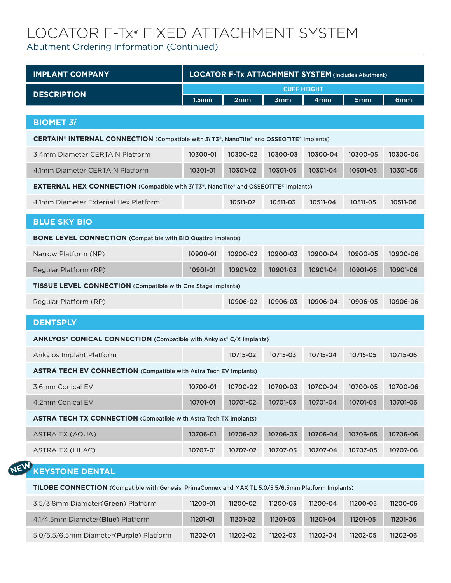Abutment Ordering Information (Continued)

**NEW**

| <b>IMPLANT COMPANY</b>                                                                                                    | <b>LOCATOR F-Tx ATTACHMENT SYSTEM (Includes Abutment)</b> |          |            |          |          |          |  |
|---------------------------------------------------------------------------------------------------------------------------|-----------------------------------------------------------|----------|------------|----------|----------|----------|--|
|                                                                                                                           | <b>CUFF HEIGHT</b>                                        |          |            |          |          |          |  |
| <b>DESCRIPTION</b>                                                                                                        | 1.5 <sub>mm</sub>                                         | 2mm      | <b>3mm</b> | 4mm      | 5mm      | 6mm      |  |
| <b>BIOMET 3i</b>                                                                                                          |                                                           |          |            |          |          |          |  |
| <b>CERTAIN<sup>®</sup> INTERNAL CONNECTION</b> (Compatible with $3i$ T3 <sup>®</sup> , NanoTite® and OSSEOTITE® Implants) |                                                           |          |            |          |          |          |  |
| 3.4mm Diameter CERTAIN Platform                                                                                           | 10300-01                                                  | 10300-02 | 10300-03   | 10300-04 | 10300-05 | 10300-06 |  |
| 4.1mm Diameter CERTAIN Platform                                                                                           | 10301-01                                                  | 10301-02 | 10301-03   | 10301-04 | 10301-05 | 10301-06 |  |
| <b>EXTERNAL HEX CONNECTION</b> (Compatible with 3i T3 <sup>®</sup> , NanoTite® and OSSEOTITE® Implants)                   |                                                           |          |            |          |          |          |  |
| 4.1mm Diameter External Hex Platform                                                                                      |                                                           | 10511-02 | 10511-03   | 10511-04 | 10511-05 | 10511-06 |  |
| <b>BLUE SKY BIO</b>                                                                                                       |                                                           |          |            |          |          |          |  |
| <b>BONE LEVEL CONNECTION (Compatible with BIO Quattro Implants)</b>                                                       |                                                           |          |            |          |          |          |  |
| Narrow Platform (NP)                                                                                                      | 10900-01                                                  | 10900-02 | 10900-03   | 10900-04 | 10900-05 | 10900-06 |  |
| Regular Platform (RP)                                                                                                     | 10901-01                                                  | 10901-02 | 10901-03   | 10901-04 | 10901-05 | 10901-06 |  |
| <b>TISSUE LEVEL CONNECTION (Compatible with One Stage Implants)</b>                                                       |                                                           |          |            |          |          |          |  |
| Regular Platform (RP)                                                                                                     |                                                           | 10906-02 | 10906-03   | 10906-04 | 10906-05 | 10906-06 |  |
| <b>DENTSPLY</b>                                                                                                           |                                                           |          |            |          |          |          |  |
| <b>ANKLYOS® CONICAL CONNECTION (Compatible with Ankylos® C/X Implants)</b>                                                |                                                           |          |            |          |          |          |  |
| Ankylos Implant Platform                                                                                                  |                                                           | 10715-02 | 10715-03   | 10715-04 | 10715-05 | 10715-06 |  |
| <b>ASTRA TECH EV CONNECTION</b> (Compatible with Astra Tech EV Implants)                                                  |                                                           |          |            |          |          |          |  |
| 3.6mm Conical EV                                                                                                          | 10700-01                                                  | 10700-02 | 10700-03   | 10700-04 | 10700-05 | 10700-06 |  |
| 4.2mm Conical EV                                                                                                          | 10701-01                                                  | 10701-02 | 10701-03   | 10701-04 | 10701-05 | 10701-06 |  |
| <b>ASTRA TECH TX CONNECTION</b> (Compatible with Astra Tech TX Implants)                                                  |                                                           |          |            |          |          |          |  |
| <b>ASTRA TX (AQUA)</b>                                                                                                    | 10706-01                                                  | 10706-02 | 10706-03   | 10706-04 | 10706-05 | 10706-06 |  |
| <b>ASTRA TX (LILAC)</b>                                                                                                   | 10707-01                                                  | 10707-02 | 10707-03   | 10707-04 | 10707-05 | 10707-06 |  |
| N,<br><b>KEYSTONE DENTAL</b>                                                                                              |                                                           |          |            |          |          |          |  |
| TILOBE CONNECTION (Compatible with Genesis, PrimaConnex and MAX TL 5.0/5.5/6.5mm Platform Implants)                       |                                                           |          |            |          |          |          |  |
| 3.5/3.8mm Diameter(Green) Platform                                                                                        | 11200-01                                                  | 11200-02 | 11200-03   | 11200-04 | 11200-05 | 11200-06 |  |
| 4.1/4.5mm Diameter(Blue) Platform                                                                                         | 11201-01                                                  | 11201-02 | 11201-03   | 11201-04 | 11201-05 | 11201-06 |  |
| 5.0/5.5/6.5mm Diameter(Purple) Platform                                                                                   | 11202-01                                                  | 11202-02 | 11202-03   | 11202-04 | 11202-05 | 11202-06 |  |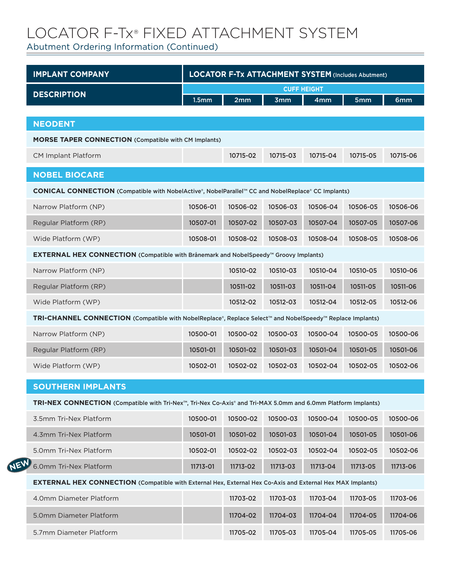Abutment Ordering Information (Continued)

**NEW**

| <b>IMPLANT COMPANY</b>                                                                                            | <b>LOCATOR F-Tx ATTACHMENT SYSTEM (Includes Abutment)</b> |          |            |                    |          |          |
|-------------------------------------------------------------------------------------------------------------------|-----------------------------------------------------------|----------|------------|--------------------|----------|----------|
| <b>DESCRIPTION</b>                                                                                                |                                                           |          |            | <b>CUFF HEIGHT</b> |          |          |
|                                                                                                                   | 1.5 <sub>mm</sub>                                         | 2mm      | <b>3mm</b> | 4 <sub>mm</sub>    | 5mm      | 6mm      |
| <b>NEODENT</b>                                                                                                    |                                                           |          |            |                    |          |          |
| <b>MORSE TAPER CONNECTION (Compatible with CM Implants)</b>                                                       |                                                           |          |            |                    |          |          |
| <b>CM Implant Platform</b>                                                                                        |                                                           | 10715-02 | 10715-03   | 10715-04           | 10715-05 | 10715-06 |
| <b>NOBEL BIOCARE</b>                                                                                              |                                                           |          |            |                    |          |          |
| CONICAL CONNECTION (Compatible with NobelActive®, NobelParallel™ CC and NobelReplace® CC Implants)                |                                                           |          |            |                    |          |          |
| Narrow Platform (NP)                                                                                              | 10506-01                                                  | 10506-02 | 10506-03   | 10506-04           | 10506-05 | 10506-06 |
| Regular Platform (RP)                                                                                             | 10507-01                                                  | 10507-02 | 10507-03   | 10507-04           | 10507-05 | 10507-06 |
| Wide Platform (WP)                                                                                                | 10508-01                                                  | 10508-02 | 10508-03   | 10508-04           | 10508-05 | 10508-06 |
| <b>EXTERNAL HEX CONNECTION</b> (Compatible with Brånemark and NobelSpeedy <sup>™</sup> Groovy Implants)           |                                                           |          |            |                    |          |          |
| Narrow Platform (NP)                                                                                              |                                                           | 10510-02 | 10510-03   | 10510-04           | 10510-05 | 10510-06 |
| Regular Platform (RP)                                                                                             |                                                           | 10511-02 | 10511-03   | 10511-04           | 10511-05 | 10511-06 |
| Wide Platform (WP)                                                                                                |                                                           | 10512-02 | 10512-03   | 10512-04           | 10512-05 | 10512-06 |
| TRI-CHANNEL CONNECTION (Compatible with NobelReplace®, Replace Select™ and NobelSpeedy™ Replace Implants)         |                                                           |          |            |                    |          |          |
| Narrow Platform (NP)                                                                                              | 10500-01                                                  | 10500-02 | 10500-03   | 10500-04           | 10500-05 | 10500-06 |
| Regular Platform (RP)                                                                                             | 10501-01                                                  | 10501-02 | 10501-03   | 10501-04           | 10501-05 | 10501-06 |
| Wide Platform (WP)                                                                                                | 10502-01                                                  | 10502-02 | 10502-03   | 10502-04           | 10502-05 | 10502-06 |
| <b>SOUTHERN IMPLANTS</b>                                                                                          |                                                           |          |            |                    |          |          |
| TRI-NEX CONNECTION (Compatible with Tri-Nex™, Tri-Nex Co-Axis® and Tri-MAX 5.0mm and 6.0mm Platform Implants)     |                                                           |          |            |                    |          |          |
| 3.5mm Tri-Nex Platform                                                                                            | 10500-01                                                  | 10500-02 | 10500-03   | 10500-04           | 10500-05 | 10500-06 |
| 4.3mm Tri-Nex Platform                                                                                            | 10501-01                                                  | 10501-02 | 10501-03   | 10501-04           | 10501-05 | 10501-06 |
| 5.0mm Tri-Nex Platform                                                                                            | 10502-01                                                  | 10502-02 | 10502-03   | 10502-04           | 10502-05 | 10502-06 |
| 6.0mm Tri-Nex Platform                                                                                            | 11713-01                                                  | 11713-02 | 11713-03   | 11713-04           | 11713-05 | 11713-06 |
| <b>EXTERNAL HEX CONNECTION</b> (Compatible with External Hex, External Hex Co-Axis and External Hex MAX Implants) |                                                           |          |            |                    |          |          |
| 4.0mm Diameter Platform                                                                                           |                                                           | 11703-02 | 11703-03   | 11703-04           | 11703-05 | 11703-06 |
| 5.0mm Diameter Platform                                                                                           |                                                           | 11704-02 | 11704-03   | 11704-04           | 11704-05 | 11704-06 |
| 5.7mm Diameter Platform                                                                                           |                                                           | 11705-02 | 11705-03   | 11705-04           | 11705-05 | 11705-06 |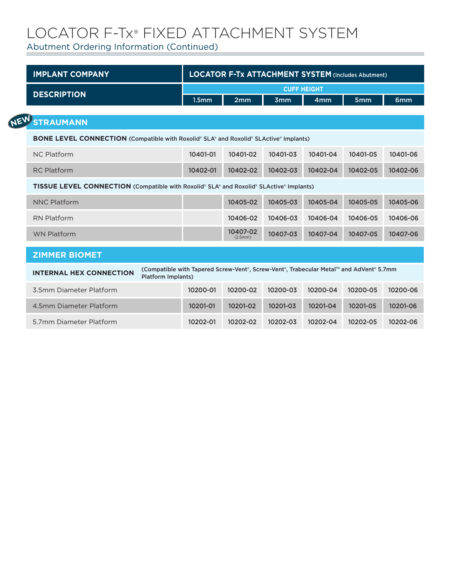Abutment Ordering Information (Continued)

| <b>IMPLANT COMPANY</b>                                                                                                                                |  | <b>LOCATOR F-Tx ATTACHMENT SYSTEM (Includes Abutment)</b> |                     |                 |                 |                 |                 |  |
|-------------------------------------------------------------------------------------------------------------------------------------------------------|--|-----------------------------------------------------------|---------------------|-----------------|-----------------|-----------------|-----------------|--|
| <b>DESCRIPTION</b>                                                                                                                                    |  | <b>CUFF HEIGHT</b>                                        |                     |                 |                 |                 |                 |  |
|                                                                                                                                                       |  | 1.5 <sub>mm</sub>                                         | 2mm                 | 3 <sub>mm</sub> | 4 <sub>mm</sub> | 5 <sub>mm</sub> | 6 <sub>mm</sub> |  |
| <b>STRAUMANN</b>                                                                                                                                      |  |                                                           |                     |                 |                 |                 |                 |  |
| <b>BONE LEVEL CONNECTION</b> (Compatible with Roxolid® SLA® and Roxolid® SLActive® Implants)                                                          |  |                                                           |                     |                 |                 |                 |                 |  |
| <b>NC Platform</b>                                                                                                                                    |  | 10401-01                                                  | 10401-02            | 10401-03        | 10401-04        | 10401-05        | 10401-06        |  |
| <b>RC Platform</b>                                                                                                                                    |  | 10402-01                                                  | 10402-02            | 10402-03        | 10402-04        | 10402-05        | 10402-06        |  |
| <b>TISSUE LEVEL CONNECTION</b> (Compatible with Roxolid® SLA® and Roxolid® SLActive® Implants)                                                        |  |                                                           |                     |                 |                 |                 |                 |  |
| <b>NNC Platform</b>                                                                                                                                   |  |                                                           | 10405-02            | 10405-03        | 10405-04        | 10405-05        | 10405-06        |  |
| <b>RN Platform</b>                                                                                                                                    |  |                                                           | 10406-02            | 10406-03        | 10406-04        | 10406-05        | 10406-06        |  |
| <b>WN Platform</b>                                                                                                                                    |  |                                                           | 10407-02<br>(2.5mm) | 10407-03        | 10407-04        | 10407-05        | 10407-06        |  |
| <b>ZIMMER BIOMET</b>                                                                                                                                  |  |                                                           |                     |                 |                 |                 |                 |  |
| (Compatible with Tapered Screw-Vent®, Screw-Vent®, Trabecular Metal™ and AdVent® 5.7mm<br><b>INTERNAL HEX CONNECTION</b><br><b>Platform Implants)</b> |  |                                                           |                     |                 |                 |                 |                 |  |
| 3.5mm Diameter Platform                                                                                                                               |  | 10200-01                                                  | 10200-02            | 10200-03        | 10200-04        | 10200-05        | 10200-06        |  |
| 4.5mm Diameter Platform                                                                                                                               |  | 10201-01                                                  | 10201-02            | 10201-03        | 10201-04        | 10201-05        | 10201-06        |  |
| 5.7mm Diameter Platform                                                                                                                               |  | 10202-01                                                  | 10202-02            | 10202-03        | 10202-04        | 10202-05        | 10202-06        |  |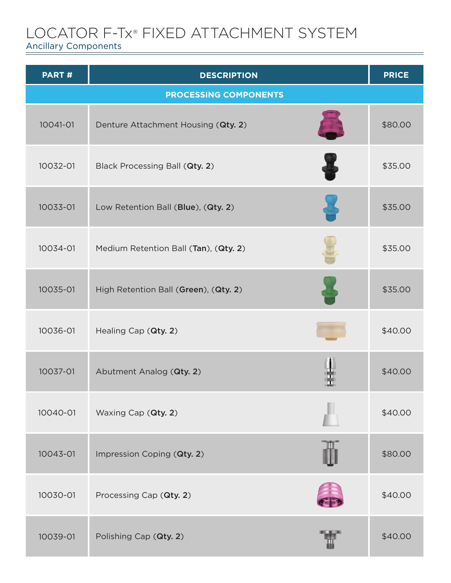Ancillary Components

| PART#    | <b>DESCRIPTION</b>                    | <b>PRICE</b> |
|----------|---------------------------------------|--------------|
|          | <b>PROCESSING COMPONENTS</b>          |              |
| 10041-01 | Denture Attachment Housing (Qty. 2)   | \$80.00      |
| 10032-01 | Black Processing Ball (Qty. 2)        | \$35.00      |
| 10033-01 | Low Retention Ball (Blue), (Qty. 2)   | \$35.00      |
| 10034-01 | Medium Retention Ball (Tan), (Qty. 2) | \$35.00      |
| 10035-01 | High Retention Ball (Green), (Qty. 2) | \$35.00      |
| 10036-01 | Healing Cap (Qty. 2)                  | \$40.00      |
| 10037-01 | Abutment Analog (Qty. 2)              | \$40.00      |
| 10040-01 | Waxing Cap (Qty. 2)                   | \$40.00      |
| 10043-01 | Impression Coping (Qty. 2)            | \$80.00      |
| 10030-01 | Processing Cap (Qty. 2)               | \$40.00      |
| 10039-01 | Polishing Cap (Qty. 2)                | \$40.00      |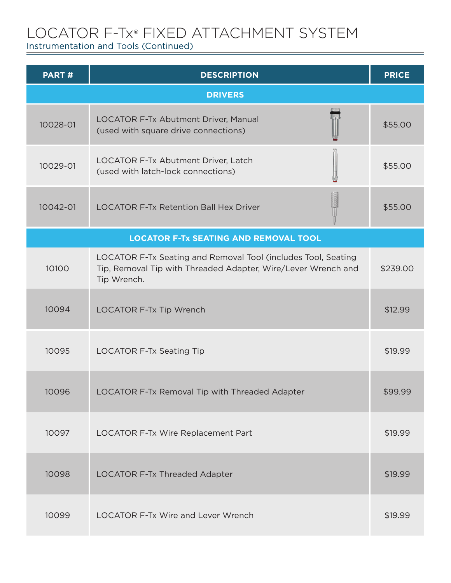Instrumentation and Tools (Continued)

| PART#    | <b>DESCRIPTION</b>                                                                                                                            | <b>PRICE</b> |
|----------|-----------------------------------------------------------------------------------------------------------------------------------------------|--------------|
|          | <b>DRIVERS</b>                                                                                                                                |              |
| 10028-01 | LOCATOR F-Tx Abutment Driver, Manual<br>(used with square drive connections)                                                                  | \$55.00      |
| 10029-01 | LOCATOR F-Tx Abutment Driver, Latch<br>(used with latch-lock connections)                                                                     | \$55.00      |
| 10042-01 | <b>LOCATOR F-Tx Retention Ball Hex Driver</b>                                                                                                 | \$55.00      |
|          | <b>LOCATOR F-Tx SEATING AND REMOVAL TOOL</b>                                                                                                  |              |
| 10100    | LOCATOR F-Tx Seating and Removal Tool (includes Tool, Seating<br>Tip, Removal Tip with Threaded Adapter, Wire/Lever Wrench and<br>Tip Wrench. | \$239.00     |
| 10094    | <b>LOCATOR F-Tx Tip Wrench</b>                                                                                                                | \$12.99      |
| 10095    | <b>LOCATOR F-Tx Seating Tip</b>                                                                                                               | \$19.99      |
| 10096    | LOCATOR F-Tx Removal Tip with Threaded Adapter                                                                                                | \$99.99      |
| 10097    | LOCATOR F-Tx Wire Replacement Part                                                                                                            | \$19.99      |
| 10098    | <b>LOCATOR F-Tx Threaded Adapter</b>                                                                                                          | \$19.99      |
| 10099    | <b>LOCATOR F-Tx Wire and Lever Wrench</b>                                                                                                     | \$19.99      |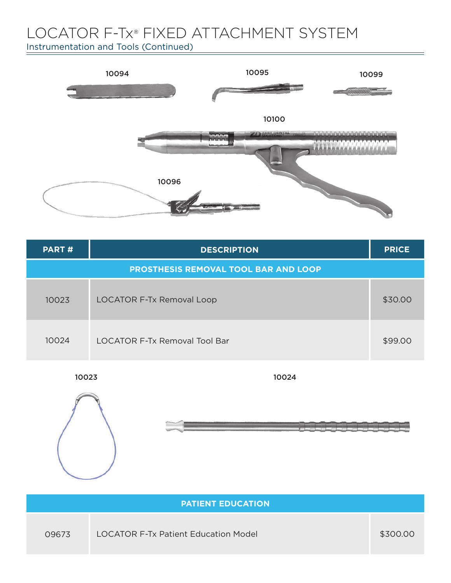Instrumentation and Tools (Continued)



| PART# | <b>DESCRIPTION</b>                          | <b>PRICE</b> |
|-------|---------------------------------------------|--------------|
|       | <b>PROSTHESIS REMOVAL TOOL BAR AND LOOP</b> |              |
| 10023 | <b>LOCATOR F-Tx Removal Loop</b>            | \$30.00      |
| 10024 | <b>LOCATOR F-Tx Removal Tool Bar</b>        | \$99.00      |

10024





|       | <b>PATIENT EDUCATION</b>                    |          |
|-------|---------------------------------------------|----------|
| 09673 | <b>LOCATOR F-Tx Patient Education Model</b> | \$300.00 |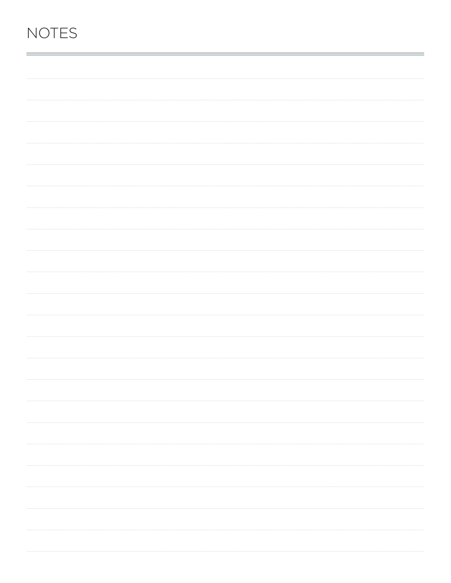### **NOTES**